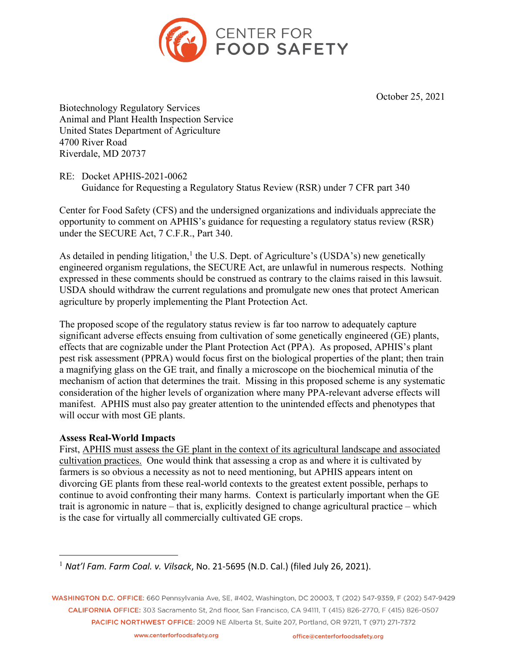

October 25, 2021

Biotechnology Regulatory Services Animal and Plant Health Inspection Service United States Department of Agriculture 4700 River Road Riverdale, MD 20737

RE: Docket APHIS-2021-0062 Guidance for Requesting a Regulatory Status Review (RSR) under 7 CFR part 340

Center for Food Safety (CFS) and the undersigned organizations and individuals appreciate the opportunity to comment on APHIS's guidance for requesting a regulatory status review (RSR) under the SECURE Act, 7 C.F.R., Part 340.

As detailed in pending litigation,<sup>1</sup> the U.S. Dept. of Agriculture's (USDA's) new genetically engineered organism regulations, the SECURE Act, are unlawful in numerous respects. Nothing expressed in these comments should be construed as contrary to the claims raised in this lawsuit. USDA should withdraw the current regulations and promulgate new ones that protect American agriculture by properly implementing the Plant Protection Act.

The proposed scope of the regulatory status review is far too narrow to adequately capture significant adverse effects ensuing from cultivation of some genetically engineered (GE) plants, effects that are cognizable under the Plant Protection Act (PPA). As proposed, APHIS's plant pest risk assessment (PPRA) would focus first on the biological properties of the plant; then train a magnifying glass on the GE trait, and finally a microscope on the biochemical minutia of the mechanism of action that determines the trait. Missing in this proposed scheme is any systematic consideration of the higher levels of organization where many PPA-relevant adverse effects will manifest. APHIS must also pay greater attention to the unintended effects and phenotypes that will occur with most GE plants.

## **Assess Real-World Impacts**

First, APHIS must assess the GE plant in the context of its agricultural landscape and associated cultivation practices. One would think that assessing a crop as and where it is cultivated by farmers is so obvious a necessity as not to need mentioning, but APHIS appears intent on divorcing GE plants from these real-world contexts to the greatest extent possible, perhaps to continue to avoid confronting their many harms. Context is particularly important when the GE trait is agronomic in nature – that is, explicitly designed to change agricultural practice – which is the case for virtually all commercially cultivated GE crops.

WASHINGTON D.C. OFFICE: 660 Pennsylvania Ave, SE, #402, Washington, DC 20003, T (202) 547-9359, F (202) 547-9429 CALIFORNIA OFFICE: 303 Sacramento St. 2nd floor. San Francisco, CA 94111. T (415) 826-2770. F (415) 826-0507 PACIFIC NORTHWEST OFFICE: 2009 NE Alberta St, Suite 207, Portland, OR 97211, T (971) 271-7372

<sup>1</sup> *Nat'l Fam. Farm Coal. v. Vilsack*, No. 21-5695 (N.D. Cal.) (filed July 26, 2021).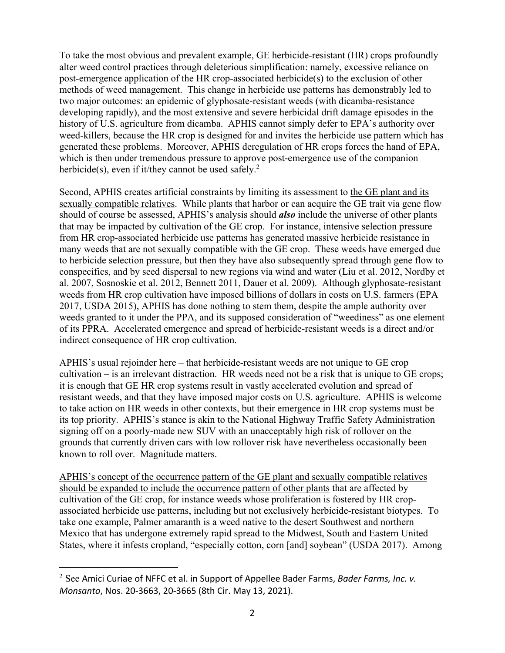To take the most obvious and prevalent example, GE herbicide-resistant (HR) crops profoundly alter weed control practices through deleterious simplification: namely, excessive reliance on post-emergence application of the HR crop-associated herbicide(s) to the exclusion of other methods of weed management. This change in herbicide use patterns has demonstrably led to two major outcomes: an epidemic of glyphosate-resistant weeds (with dicamba-resistance developing rapidly), and the most extensive and severe herbicidal drift damage episodes in the history of U.S. agriculture from dicamba. APHIS cannot simply defer to EPA's authority over weed-killers, because the HR crop is designed for and invites the herbicide use pattern which has generated these problems. Moreover, APHIS deregulation of HR crops forces the hand of EPA, which is then under tremendous pressure to approve post-emergence use of the companion herbicide(s), even if it/they cannot be used safely.<sup>2</sup>

Second, APHIS creates artificial constraints by limiting its assessment to the GE plant and its sexually compatible relatives. While plants that harbor or can acquire the GE trait via gene flow should of course be assessed, APHIS's analysis should *also* include the universe of other plants that may be impacted by cultivation of the GE crop. For instance, intensive selection pressure from HR crop-associated herbicide use patterns has generated massive herbicide resistance in many weeds that are not sexually compatible with the GE crop. These weeds have emerged due to herbicide selection pressure, but then they have also subsequently spread through gene flow to conspecifics, and by seed dispersal to new regions via wind and water (Liu et al. 2012, Nordby et al. 2007, Sosnoskie et al. 2012, Bennett 2011, Dauer et al. 2009). Although glyphosate-resistant weeds from HR crop cultivation have imposed billions of dollars in costs on U.S. farmers (EPA 2017, USDA 2015), APHIS has done nothing to stem them, despite the ample authority over weeds granted to it under the PPA, and its supposed consideration of "weediness" as one element of its PPRA. Accelerated emergence and spread of herbicide-resistant weeds is a direct and/or indirect consequence of HR crop cultivation.

APHIS's usual rejoinder here – that herbicide-resistant weeds are not unique to GE crop cultivation – is an irrelevant distraction. HR weeds need not be a risk that is unique to GE crops; it is enough that GE HR crop systems result in vastly accelerated evolution and spread of resistant weeds, and that they have imposed major costs on U.S. agriculture. APHIS is welcome to take action on HR weeds in other contexts, but their emergence in HR crop systems must be its top priority. APHIS's stance is akin to the National Highway Traffic Safety Administration signing off on a poorly-made new SUV with an unacceptably high risk of rollover on the grounds that currently driven cars with low rollover risk have nevertheless occasionally been known to roll over. Magnitude matters.

APHIS's concept of the occurrence pattern of the GE plant and sexually compatible relatives should be expanded to include the occurrence pattern of other plants that are affected by cultivation of the GE crop, for instance weeds whose proliferation is fostered by HR cropassociated herbicide use patterns, including but not exclusively herbicide-resistant biotypes. To take one example, Palmer amaranth is a weed native to the desert Southwest and northern Mexico that has undergone extremely rapid spread to the Midwest, South and Eastern United States, where it infests cropland, "especially cotton, corn [and] soybean" (USDA 2017). Among

<sup>2</sup> See Amici Curiae of NFFC et al. in Support of Appellee Bader Farms, *Bader Farms, Inc. v. Monsanto*, Nos. 20-3663, 20-3665 (8th Cir. May 13, 2021).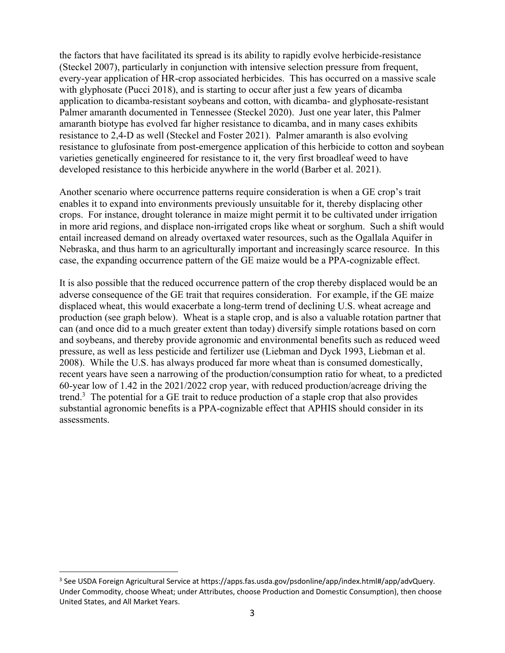the factors that have facilitated its spread is its ability to rapidly evolve herbicide-resistance (Steckel 2007), particularly in conjunction with intensive selection pressure from frequent, every-year application of HR-crop associated herbicides. This has occurred on a massive scale with glyphosate (Pucci 2018), and is starting to occur after just a few years of dicamba application to dicamba-resistant soybeans and cotton, with dicamba- and glyphosate-resistant Palmer amaranth documented in Tennessee (Steckel 2020). Just one year later, this Palmer amaranth biotype has evolved far higher resistance to dicamba, and in many cases exhibits resistance to 2,4-D as well (Steckel and Foster 2021). Palmer amaranth is also evolving resistance to glufosinate from post-emergence application of this herbicide to cotton and soybean varieties genetically engineered for resistance to it, the very first broadleaf weed to have developed resistance to this herbicide anywhere in the world (Barber et al. 2021).

Another scenario where occurrence patterns require consideration is when a GE crop's trait enables it to expand into environments previously unsuitable for it, thereby displacing other crops. For instance, drought tolerance in maize might permit it to be cultivated under irrigation in more arid regions, and displace non-irrigated crops like wheat or sorghum. Such a shift would entail increased demand on already overtaxed water resources, such as the Ogallala Aquifer in Nebraska, and thus harm to an agriculturally important and increasingly scarce resource. In this case, the expanding occurrence pattern of the GE maize would be a PPA-cognizable effect.

It is also possible that the reduced occurrence pattern of the crop thereby displaced would be an adverse consequence of the GE trait that requires consideration. For example, if the GE maize displaced wheat, this would exacerbate a long-term trend of declining U.S. wheat acreage and production (see graph below). Wheat is a staple crop, and is also a valuable rotation partner that can (and once did to a much greater extent than today) diversify simple rotations based on corn and soybeans, and thereby provide agronomic and environmental benefits such as reduced weed pressure, as well as less pesticide and fertilizer use (Liebman and Dyck 1993, Liebman et al. 2008). While the U.S. has always produced far more wheat than is consumed domestically, recent years have seen a narrowing of the production/consumption ratio for wheat, to a predicted 60-year low of 1.42 in the 2021/2022 crop year, with reduced production/acreage driving the trend.3 The potential for a GE trait to reduce production of a staple crop that also provides substantial agronomic benefits is a PPA-cognizable effect that APHIS should consider in its assessments.

<sup>3</sup> See USDA Foreign Agricultural Service at https://apps.fas.usda.gov/psdonline/app/index.html#/app/advQuery. Under Commodity, choose Wheat; under Attributes, choose Production and Domestic Consumption), then choose United States, and All Market Years.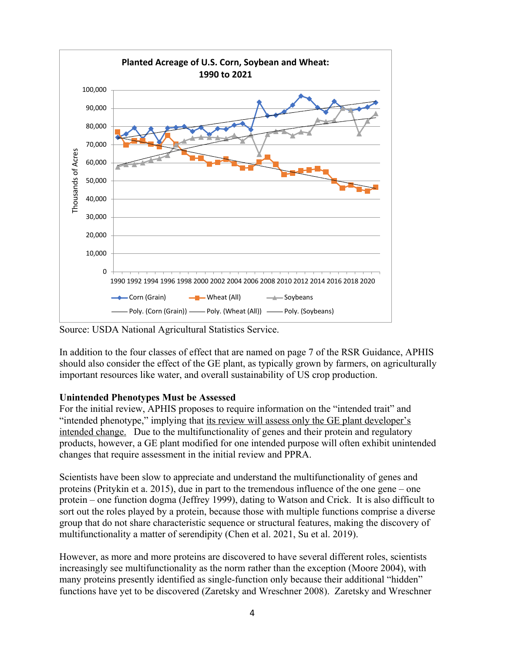

Source: USDA National Agricultural Statistics Service.

In addition to the four classes of effect that are named on page 7 of the RSR Guidance, APHIS should also consider the effect of the GE plant, as typically grown by farmers, on agriculturally important resources like water, and overall sustainability of US crop production.

# **Unintended Phenotypes Must be Assessed**

For the initial review, APHIS proposes to require information on the "intended trait" and "intended phenotype," implying that its review will assess only the GE plant developer's intended change. Due to the multifunctionality of genes and their protein and regulatory products, however, a GE plant modified for one intended purpose will often exhibit unintended changes that require assessment in the initial review and PPRA.

Scientists have been slow to appreciate and understand the multifunctionality of genes and proteins (Pritykin et a. 2015), due in part to the tremendous influence of the one gene – one protein – one function dogma (Jeffrey 1999), dating to Watson and Crick. It is also difficult to sort out the roles played by a protein, because those with multiple functions comprise a diverse group that do not share characteristic sequence or structural features, making the discovery of multifunctionality a matter of serendipity (Chen et al. 2021, Su et al. 2019).

However, as more and more proteins are discovered to have several different roles, scientists increasingly see multifunctionality as the norm rather than the exception (Moore 2004), with many proteins presently identified as single-function only because their additional "hidden" functions have yet to be discovered (Zaretsky and Wreschner 2008). Zaretsky and Wreschner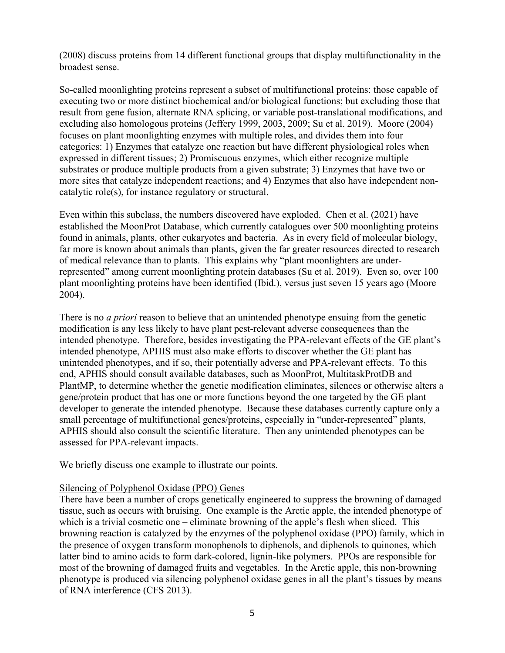(2008) discuss proteins from 14 different functional groups that display multifunctionality in the broadest sense.

So-called moonlighting proteins represent a subset of multifunctional proteins: those capable of executing two or more distinct biochemical and/or biological functions; but excluding those that result from gene fusion, alternate RNA splicing, or variable post-translational modifications, and excluding also homologous proteins (Jeffery 1999, 2003, 2009; Su et al. 2019). Moore (2004) focuses on plant moonlighting enzymes with multiple roles, and divides them into four categories: 1) Enzymes that catalyze one reaction but have different physiological roles when expressed in different tissues; 2) Promiscuous enzymes, which either recognize multiple substrates or produce multiple products from a given substrate; 3) Enzymes that have two or more sites that catalyze independent reactions; and 4) Enzymes that also have independent noncatalytic role(s), for instance regulatory or structural.

Even within this subclass, the numbers discovered have exploded. Chen et al. (2021) have established the MoonProt Database, which currently catalogues over 500 moonlighting proteins found in animals, plants, other eukaryotes and bacteria. As in every field of molecular biology, far more is known about animals than plants, given the far greater resources directed to research of medical relevance than to plants. This explains why "plant moonlighters are underrepresented" among current moonlighting protein databases (Su et al. 2019). Even so, over 100 plant moonlighting proteins have been identified (Ibid.), versus just seven 15 years ago (Moore 2004).

There is no *a priori* reason to believe that an unintended phenotype ensuing from the genetic modification is any less likely to have plant pest-relevant adverse consequences than the intended phenotype. Therefore, besides investigating the PPA-relevant effects of the GE plant's intended phenotype, APHIS must also make efforts to discover whether the GE plant has unintended phenotypes, and if so, their potentially adverse and PPA-relevant effects. To this end, APHIS should consult available databases, such as MoonProt, MultitaskProtDB and PlantMP, to determine whether the genetic modification eliminates, silences or otherwise alters a gene/protein product that has one or more functions beyond the one targeted by the GE plant developer to generate the intended phenotype. Because these databases currently capture only a small percentage of multifunctional genes/proteins, especially in "under-represented" plants, APHIS should also consult the scientific literature. Then any unintended phenotypes can be assessed for PPA-relevant impacts.

We briefly discuss one example to illustrate our points.

## Silencing of Polyphenol Oxidase (PPO) Genes

There have been a number of crops genetically engineered to suppress the browning of damaged tissue, such as occurs with bruising. One example is the Arctic apple, the intended phenotype of which is a trivial cosmetic one – eliminate browning of the apple's flesh when sliced. This browning reaction is catalyzed by the enzymes of the polyphenol oxidase (PPO) family, which in the presence of oxygen transform monophenols to diphenols, and diphenols to quinones, which latter bind to amino acids to form dark-colored, lignin-like polymers. PPOs are responsible for most of the browning of damaged fruits and vegetables. In the Arctic apple, this non-browning phenotype is produced via silencing polyphenol oxidase genes in all the plant's tissues by means of RNA interference (CFS 2013).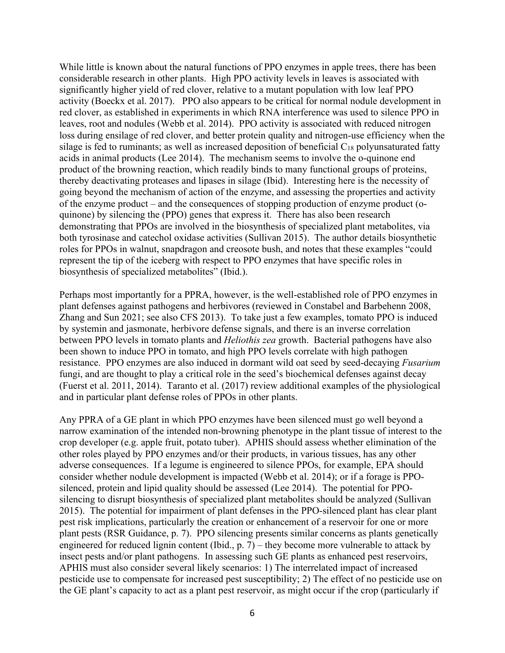While little is known about the natural functions of PPO enzymes in apple trees, there has been considerable research in other plants. High PPO activity levels in leaves is associated with significantly higher yield of red clover, relative to a mutant population with low leaf PPO activity (Boeckx et al. 2017). PPO also appears to be critical for normal nodule development in red clover, as established in experiments in which RNA interference was used to silence PPO in leaves, root and nodules (Webb et al. 2014). PPO activity is associated with reduced nitrogen loss during ensilage of red clover, and better protein quality and nitrogen-use efficiency when the silage is fed to ruminants; as well as increased deposition of beneficial  $C_{18}$  polyunsaturated fatty acids in animal products (Lee 2014). The mechanism seems to involve the o-quinone end product of the browning reaction, which readily binds to many functional groups of proteins, thereby deactivating proteases and lipases in silage (Ibid). Interesting here is the necessity of going beyond the mechanism of action of the enzyme, and assessing the properties and activity of the enzyme product – and the consequences of stopping production of enzyme product (oquinone) by silencing the (PPO) genes that express it. There has also been research demonstrating that PPOs are involved in the biosynthesis of specialized plant metabolites, via both tyrosinase and catechol oxidase activities (Sullivan 2015). The author details biosynthetic roles for PPOs in walnut, snapdragon and creosote bush, and notes that these examples "could represent the tip of the iceberg with respect to PPO enzymes that have specific roles in biosynthesis of specialized metabolites" (Ibid.).

Perhaps most importantly for a PPRA, however, is the well-established role of PPO enzymes in plant defenses against pathogens and herbivores (reviewed in Constabel and Barbehenn 2008, Zhang and Sun 2021; see also CFS 2013). To take just a few examples, tomato PPO is induced by systemin and jasmonate, herbivore defense signals, and there is an inverse correlation between PPO levels in tomato plants and *Heliothis zea* growth. Bacterial pathogens have also been shown to induce PPO in tomato, and high PPO levels correlate with high pathogen resistance. PPO enzymes are also induced in dormant wild oat seed by seed-decaying *Fusarium* fungi, and are thought to play a critical role in the seed's biochemical defenses against decay (Fuerst et al. 2011, 2014). Taranto et al. (2017) review additional examples of the physiological and in particular plant defense roles of PPOs in other plants.

Any PPRA of a GE plant in which PPO enzymes have been silenced must go well beyond a narrow examination of the intended non-browning phenotype in the plant tissue of interest to the crop developer (e.g. apple fruit, potato tuber). APHIS should assess whether elimination of the other roles played by PPO enzymes and/or their products, in various tissues, has any other adverse consequences. If a legume is engineered to silence PPOs, for example, EPA should consider whether nodule development is impacted (Webb et al. 2014); or if a forage is PPOsilenced, protein and lipid quality should be assessed (Lee 2014). The potential for PPOsilencing to disrupt biosynthesis of specialized plant metabolites should be analyzed (Sullivan 2015). The potential for impairment of plant defenses in the PPO-silenced plant has clear plant pest risk implications, particularly the creation or enhancement of a reservoir for one or more plant pests (RSR Guidance, p. 7). PPO silencing presents similar concerns as plants genetically engineered for reduced lignin content (Ibid., p. 7) – they become more vulnerable to attack by insect pests and/or plant pathogens. In assessing such GE plants as enhanced pest reservoirs, APHIS must also consider several likely scenarios: 1) The interrelated impact of increased pesticide use to compensate for increased pest susceptibility; 2) The effect of no pesticide use on the GE plant's capacity to act as a plant pest reservoir, as might occur if the crop (particularly if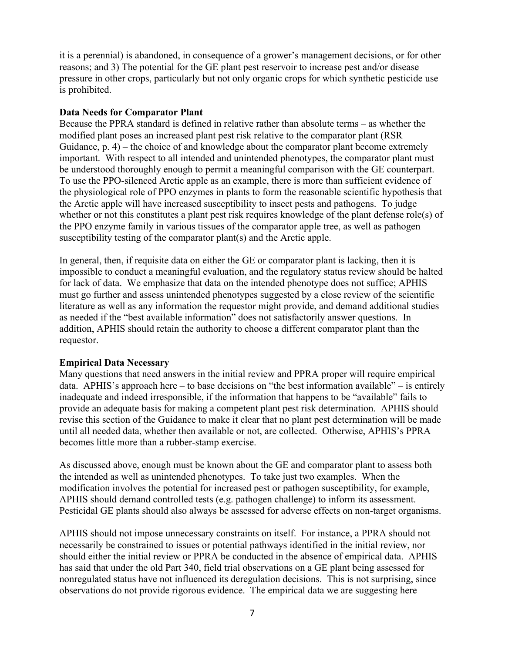it is a perennial) is abandoned, in consequence of a grower's management decisions, or for other reasons; and 3) The potential for the GE plant pest reservoir to increase pest and/or disease pressure in other crops, particularly but not only organic crops for which synthetic pesticide use is prohibited.

#### **Data Needs for Comparator Plant**

Because the PPRA standard is defined in relative rather than absolute terms – as whether the modified plant poses an increased plant pest risk relative to the comparator plant (RSR Guidance, p. 4) – the choice of and knowledge about the comparator plant become extremely important. With respect to all intended and unintended phenotypes, the comparator plant must be understood thoroughly enough to permit a meaningful comparison with the GE counterpart. To use the PPO-silenced Arctic apple as an example, there is more than sufficient evidence of the physiological role of PPO enzymes in plants to form the reasonable scientific hypothesis that the Arctic apple will have increased susceptibility to insect pests and pathogens. To judge whether or not this constitutes a plant pest risk requires knowledge of the plant defense role(s) of the PPO enzyme family in various tissues of the comparator apple tree, as well as pathogen susceptibility testing of the comparator plant(s) and the Arctic apple.

In general, then, if requisite data on either the GE or comparator plant is lacking, then it is impossible to conduct a meaningful evaluation, and the regulatory status review should be halted for lack of data. We emphasize that data on the intended phenotype does not suffice; APHIS must go further and assess unintended phenotypes suggested by a close review of the scientific literature as well as any information the requestor might provide, and demand additional studies as needed if the "best available information" does not satisfactorily answer questions. In addition, APHIS should retain the authority to choose a different comparator plant than the requestor.

#### **Empirical Data Necessary**

Many questions that need answers in the initial review and PPRA proper will require empirical data. APHIS's approach here – to base decisions on "the best information available" – is entirely inadequate and indeed irresponsible, if the information that happens to be "available" fails to provide an adequate basis for making a competent plant pest risk determination. APHIS should revise this section of the Guidance to make it clear that no plant pest determination will be made until all needed data, whether then available or not, are collected. Otherwise, APHIS's PPRA becomes little more than a rubber-stamp exercise.

As discussed above, enough must be known about the GE and comparator plant to assess both the intended as well as unintended phenotypes. To take just two examples. When the modification involves the potential for increased pest or pathogen susceptibility, for example, APHIS should demand controlled tests (e.g. pathogen challenge) to inform its assessment. Pesticidal GE plants should also always be assessed for adverse effects on non-target organisms.

APHIS should not impose unnecessary constraints on itself. For instance, a PPRA should not necessarily be constrained to issues or potential pathways identified in the initial review, nor should either the initial review or PPRA be conducted in the absence of empirical data. APHIS has said that under the old Part 340, field trial observations on a GE plant being assessed for nonregulated status have not influenced its deregulation decisions. This is not surprising, since observations do not provide rigorous evidence. The empirical data we are suggesting here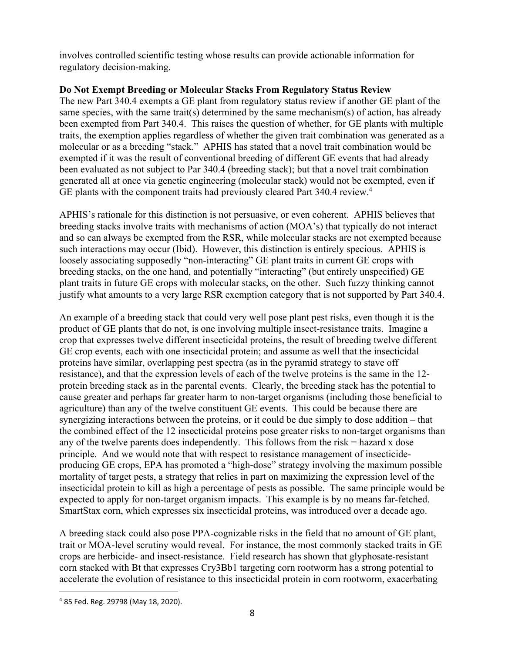involves controlled scientific testing whose results can provide actionable information for regulatory decision-making.

# **Do Not Exempt Breeding or Molecular Stacks From Regulatory Status Review**

The new Part 340.4 exempts a GE plant from regulatory status review if another GE plant of the same species, with the same trait(s) determined by the same mechanism(s) of action, has already been exempted from Part 340.4. This raises the question of whether, for GE plants with multiple traits, the exemption applies regardless of whether the given trait combination was generated as a molecular or as a breeding "stack." APHIS has stated that a novel trait combination would be exempted if it was the result of conventional breeding of different GE events that had already been evaluated as not subject to Par 340.4 (breeding stack); but that a novel trait combination generated all at once via genetic engineering (molecular stack) would not be exempted, even if GE plants with the component traits had previously cleared Part 340.4 review. 4

APHIS's rationale for this distinction is not persuasive, or even coherent. APHIS believes that breeding stacks involve traits with mechanisms of action (MOA's) that typically do not interact and so can always be exempted from the RSR, while molecular stacks are not exempted because such interactions may occur (Ibid). However, this distinction is entirely specious. APHIS is loosely associating supposedly "non-interacting" GE plant traits in current GE crops with breeding stacks, on the one hand, and potentially "interacting" (but entirely unspecified) GE plant traits in future GE crops with molecular stacks, on the other. Such fuzzy thinking cannot justify what amounts to a very large RSR exemption category that is not supported by Part 340.4.

An example of a breeding stack that could very well pose plant pest risks, even though it is the product of GE plants that do not, is one involving multiple insect-resistance traits. Imagine a crop that expresses twelve different insecticidal proteins, the result of breeding twelve different GE crop events, each with one insecticidal protein; and assume as well that the insecticidal proteins have similar, overlapping pest spectra (as in the pyramid strategy to stave off resistance), and that the expression levels of each of the twelve proteins is the same in the 12 protein breeding stack as in the parental events. Clearly, the breeding stack has the potential to cause greater and perhaps far greater harm to non-target organisms (including those beneficial to agriculture) than any of the twelve constituent GE events. This could be because there are synergizing interactions between the proteins, or it could be due simply to dose addition – that the combined effect of the 12 insecticidal proteins pose greater risks to non-target organisms than any of the twelve parents does independently. This follows from the risk  $=$  hazard x dose principle. And we would note that with respect to resistance management of insecticideproducing GE crops, EPA has promoted a "high-dose" strategy involving the maximum possible mortality of target pests, a strategy that relies in part on maximizing the expression level of the insecticidal protein to kill as high a percentage of pests as possible. The same principle would be expected to apply for non-target organism impacts. This example is by no means far-fetched. SmartStax corn, which expresses six insecticidal proteins, was introduced over a decade ago.

A breeding stack could also pose PPA-cognizable risks in the field that no amount of GE plant, trait or MOA-level scrutiny would reveal. For instance, the most commonly stacked traits in GE crops are herbicide- and insect-resistance. Field research has shown that glyphosate-resistant corn stacked with Bt that expresses Cry3Bb1 targeting corn rootworm has a strong potential to accelerate the evolution of resistance to this insecticidal protein in corn rootworm, exacerbating

<sup>4</sup> 85 Fed. Reg. 29798 (May 18, 2020).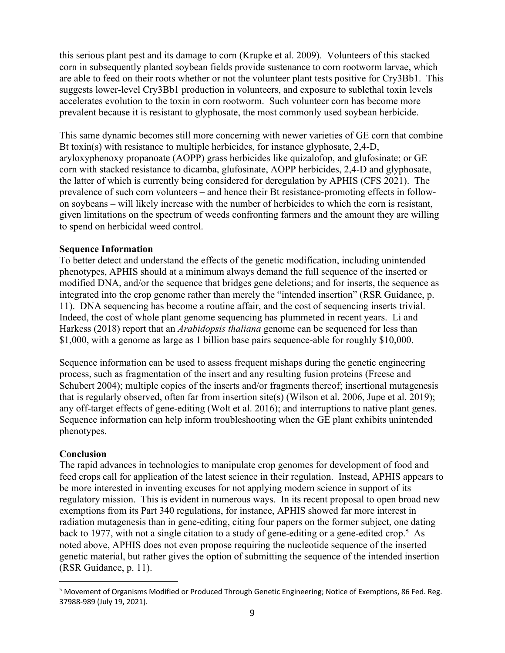this serious plant pest and its damage to corn (Krupke et al. 2009). Volunteers of this stacked corn in subsequently planted soybean fields provide sustenance to corn rootworm larvae, which are able to feed on their roots whether or not the volunteer plant tests positive for Cry3Bb1. This suggests lower-level Cry3Bb1 production in volunteers, and exposure to sublethal toxin levels accelerates evolution to the toxin in corn rootworm. Such volunteer corn has become more prevalent because it is resistant to glyphosate, the most commonly used soybean herbicide.

This same dynamic becomes still more concerning with newer varieties of GE corn that combine Bt toxin(s) with resistance to multiple herbicides, for instance glyphosate, 2,4-D, aryloxyphenoxy propanoate (AOPP) grass herbicides like quizalofop, and glufosinate; or GE corn with stacked resistance to dicamba, glufosinate, AOPP herbicides, 2,4-D and glyphosate, the latter of which is currently being considered for deregulation by APHIS (CFS 2021). The prevalence of such corn volunteers – and hence their Bt resistance-promoting effects in followon soybeans – will likely increase with the number of herbicides to which the corn is resistant, given limitations on the spectrum of weeds confronting farmers and the amount they are willing to spend on herbicidal weed control.

#### **Sequence Information**

To better detect and understand the effects of the genetic modification, including unintended phenotypes, APHIS should at a minimum always demand the full sequence of the inserted or modified DNA, and/or the sequence that bridges gene deletions; and for inserts, the sequence as integrated into the crop genome rather than merely the "intended insertion" (RSR Guidance, p. 11). DNA sequencing has become a routine affair, and the cost of sequencing inserts trivial. Indeed, the cost of whole plant genome sequencing has plummeted in recent years. Li and Harkess (2018) report that an *Arabidopsis thaliana* genome can be sequenced for less than \$1,000, with a genome as large as 1 billion base pairs sequence-able for roughly \$10,000.

Sequence information can be used to assess frequent mishaps during the genetic engineering process, such as fragmentation of the insert and any resulting fusion proteins (Freese and Schubert 2004); multiple copies of the inserts and/or fragments thereof; insertional mutagenesis that is regularly observed, often far from insertion site(s) (Wilson et al. 2006, Jupe et al. 2019); any off-target effects of gene-editing (Wolt et al. 2016); and interruptions to native plant genes. Sequence information can help inform troubleshooting when the GE plant exhibits unintended phenotypes.

## **Conclusion**

The rapid advances in technologies to manipulate crop genomes for development of food and feed crops call for application of the latest science in their regulation. Instead, APHIS appears to be more interested in inventing excuses for not applying modern science in support of its regulatory mission. This is evident in numerous ways. In its recent proposal to open broad new exemptions from its Part 340 regulations, for instance, APHIS showed far more interest in radiation mutagenesis than in gene-editing, citing four papers on the former subject, one dating back to 1977, with not a single citation to a study of gene-editing or a gene-edited crop.<sup>5</sup> As noted above, APHIS does not even propose requiring the nucleotide sequence of the inserted genetic material, but rather gives the option of submitting the sequence of the intended insertion (RSR Guidance, p. 11).

<sup>5</sup> Movement of Organisms Modified or Produced Through Genetic Engineering; Notice of Exemptions, 86 Fed. Reg. 37988-989 (July 19, 2021).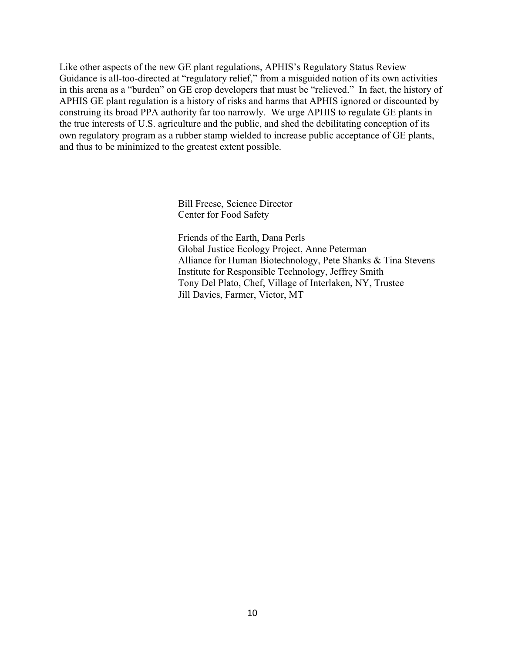Like other aspects of the new GE plant regulations, APHIS's Regulatory Status Review Guidance is all-too-directed at "regulatory relief," from a misguided notion of its own activities in this arena as a "burden" on GE crop developers that must be "relieved." In fact, the history of APHIS GE plant regulation is a history of risks and harms that APHIS ignored or discounted by construing its broad PPA authority far too narrowly. We urge APHIS to regulate GE plants in the true interests of U.S. agriculture and the public, and shed the debilitating conception of its own regulatory program as a rubber stamp wielded to increase public acceptance of GE plants, and thus to be minimized to the greatest extent possible.

> Bill Freese, Science Director Center for Food Safety

Friends of the Earth, Dana Perls Global Justice Ecology Project, Anne Peterman Alliance for Human Biotechnology, Pete Shanks & Tina Stevens Institute for Responsible Technology, Jeffrey Smith Tony Del Plato, Chef, Village of Interlaken, NY, Trustee Jill Davies, Farmer, Victor, MT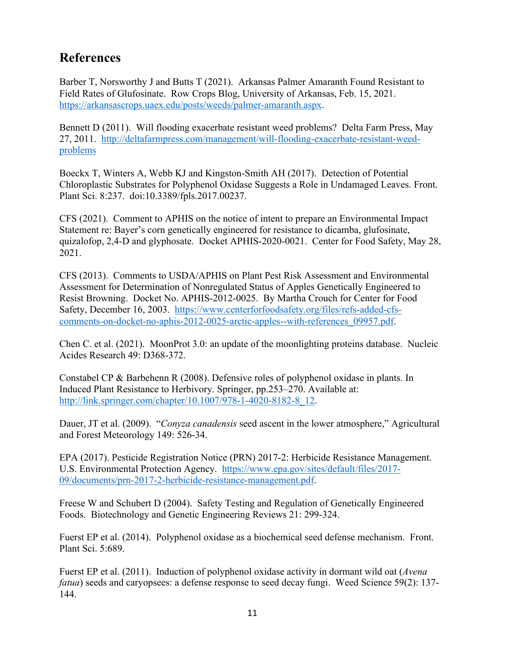# **References**

Barber T, Norsworthy J and Butts T (2021). Arkansas Palmer Amaranth Found Resistant to Field Rates of Glufosinate. Row Crops Blog, University of Arkansas, Feb. 15, 2021. https://arkansascrops.uaex.edu/posts/weeds/palmer-amaranth.aspx.

Bennett D (2011). Will flooding exacerbate resistant weed problems? Delta Farm Press, May 27, 2011. http://deltafarmpress.com/management/will-flooding-exacerbate-resistant-weedproblems

Boeckx T, Winters A, Webb KJ and Kingston-Smith AH (2017). Detection of Potential Chloroplastic Substrates for Polyphenol Oxidase Suggests a Role in Undamaged Leaves. Front. Plant Sci. 8:237. doi:10.3389/fpls.2017.00237.

CFS (2021). Comment to APHIS on the notice of intent to prepare an Environmental Impact Statement re: Bayer's corn genetically engineered for resistance to dicamba, glufosinate, quizalofop, 2,4-D and glyphosate. Docket APHIS-2020-0021. Center for Food Safety, May 28, 2021.

CFS (2013). Comments to USDA/APHIS on Plant Pest Risk Assessment and Environmental Assessment for Determination of Nonregulated Status of Apples Genetically Engineered to Resist Browning. Docket No. APHIS-2012-0025. By Martha Crouch for Center for Food Safety, December 16, 2003. https://www.centerforfoodsafety.org/files/refs-added-cfscomments-on-docket-no-aphis-2012-0025-arctic-apples--with-references\_09957.pdf.

Chen C. et al. (2021). MoonProt 3.0: an update of the moonlighting proteins database. Nucleic Acides Research 49: D368-372.

Constabel CP & Barbehenn R (2008). Defensive roles of polyphenol oxidase in plants. In Induced Plant Resistance to Herbivory. Springer, pp.253–270. Available at: http://link.springer.com/chapter/10.1007/978-1-4020-8182-8\_12.

Dauer, JT et al. (2009). "*Conyza canadensis* seed ascent in the lower atmosphere," Agricultural and Forest Meteorology 149: 526-34.

EPA (2017). Pesticide Registration Notice (PRN) 2017-2: Herbicide Resistance Management. U.S. Environmental Protection Agency. https://www.epa.gov/sites/default/files/2017- 09/documents/prn-2017-2-herbicide-resistance-management.pdf.

Freese W and Schubert D (2004). Safety Testing and Regulation of Genetically Engineered Foods. Biotechnology and Genetic Engineering Reviews 21: 299-324.

Fuerst EP et al. (2014). Polyphenol oxidase as a biochemical seed defense mechanism. Front. Plant Sci. 5:689.

Fuerst EP et al. (2011). Induction of polyphenol oxidase activity in dormant wild oat (*Avena fatua*) seeds and caryopsees: a defense response to seed decay fungi. Weed Science 59(2): 137-144.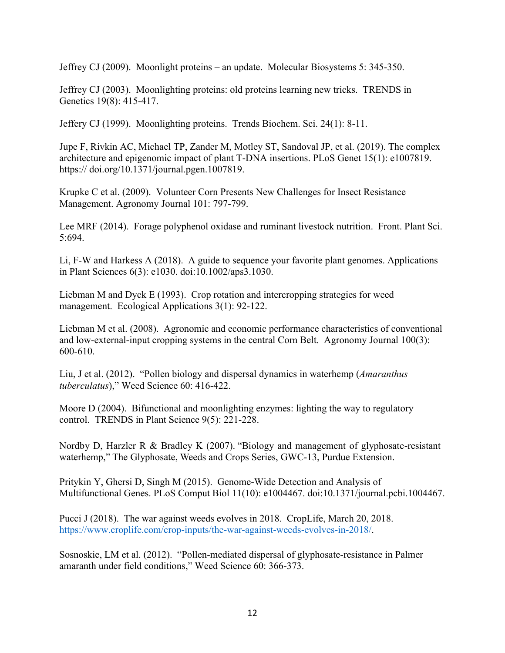Jeffrey CJ (2009). Moonlight proteins – an update. Molecular Biosystems 5: 345-350.

Jeffrey CJ (2003). Moonlighting proteins: old proteins learning new tricks. TRENDS in Genetics 19(8): 415-417.

Jeffery CJ (1999). Moonlighting proteins. Trends Biochem. Sci. 24(1): 8-11.

Jupe F, Rivkin AC, Michael TP, Zander M, Motley ST, Sandoval JP, et al. (2019). The complex architecture and epigenomic impact of plant T-DNA insertions. PLoS Genet 15(1): e1007819. https:// doi.org/10.1371/journal.pgen.1007819.

Krupke C et al. (2009). Volunteer Corn Presents New Challenges for Insect Resistance Management. Agronomy Journal 101: 797-799.

Lee MRF (2014). Forage polyphenol oxidase and ruminant livestock nutrition. Front. Plant Sci. 5:694.

Li, F-W and Harkess A (2018). A guide to sequence your favorite plant genomes. Applications in Plant Sciences 6(3): e1030. doi:10.1002/aps3.1030.

Liebman M and Dyck E (1993). Crop rotation and intercropping strategies for weed management. Ecological Applications 3(1): 92-122.

Liebman M et al. (2008). Agronomic and economic performance characteristics of conventional and low-external-input cropping systems in the central Corn Belt. Agronomy Journal 100(3): 600-610.

Liu, J et al. (2012). "Pollen biology and dispersal dynamics in waterhemp (*Amaranthus tuberculatus*)," Weed Science 60: 416-422.

Moore D (2004). Bifunctional and moonlighting enzymes: lighting the way to regulatory control. TRENDS in Plant Science 9(5): 221-228.

Nordby D, Harzler R & Bradley K (2007). "Biology and management of glyphosate-resistant waterhemp," The Glyphosate, Weeds and Crops Series, GWC-13, Purdue Extension.

Pritykin Y, Ghersi D, Singh M (2015). Genome-Wide Detection and Analysis of Multifunctional Genes. PLoS Comput Biol 11(10): e1004467. doi:10.1371/journal.pcbi.1004467.

Pucci J (2018). The war against weeds evolves in 2018. CropLife, March 20, 2018. https://www.croplife.com/crop-inputs/the-war-against-weeds-evolves-in-2018/.

Sosnoskie, LM et al. (2012). "Pollen-mediated dispersal of glyphosate-resistance in Palmer amaranth under field conditions," Weed Science 60: 366-373.